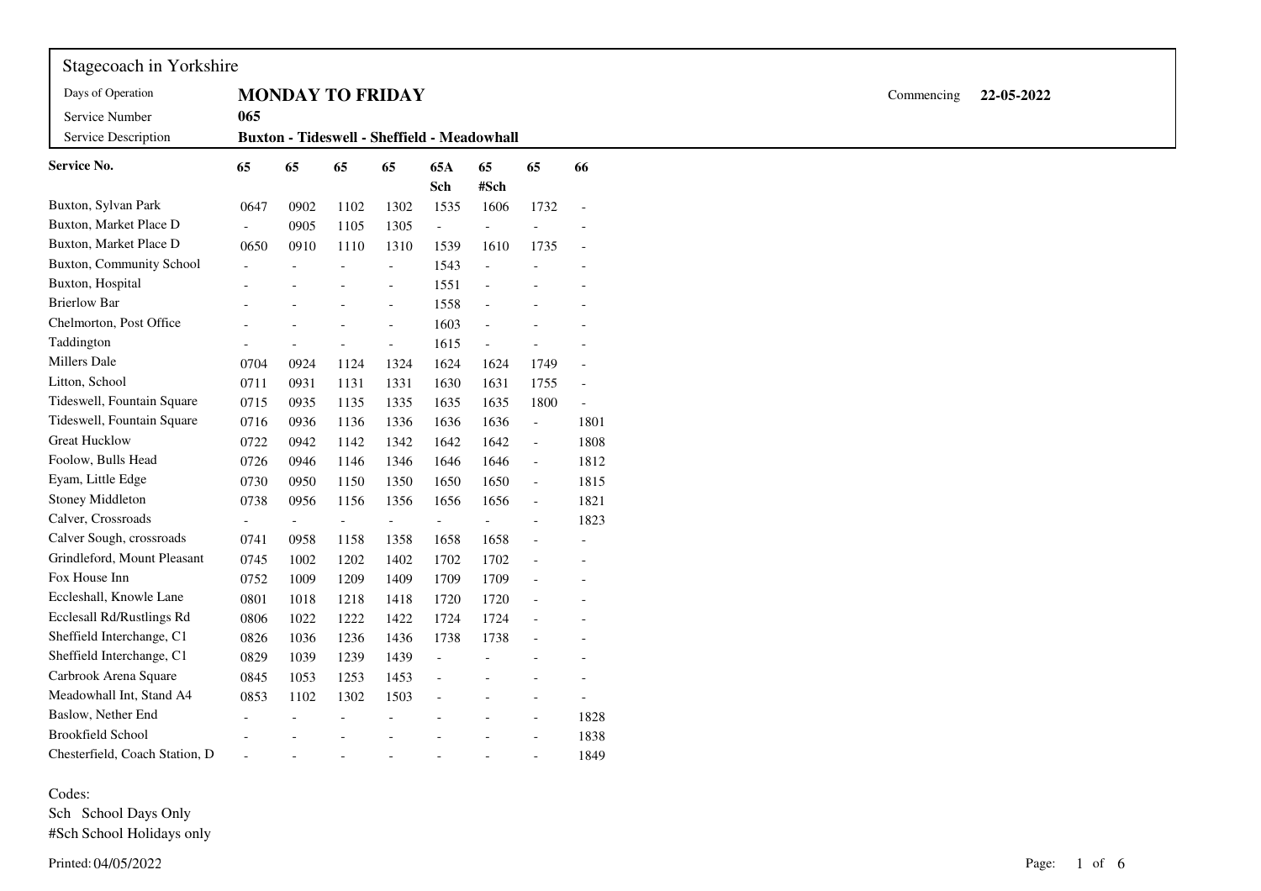| Stagecoach in Yorkshire         |                          |                          |                          |                          |                                                    |                          |                          |                          |            |            |  |
|---------------------------------|--------------------------|--------------------------|--------------------------|--------------------------|----------------------------------------------------|--------------------------|--------------------------|--------------------------|------------|------------|--|
| Days of Operation               |                          | <b>MONDAY TO FRIDAY</b>  |                          |                          |                                                    |                          |                          |                          | Commencing | 22-05-2022 |  |
| Service Number                  | 065                      |                          |                          |                          |                                                    |                          |                          |                          |            |            |  |
| Service Description             |                          |                          |                          |                          | <b>Buxton - Tideswell - Sheffield - Meadowhall</b> |                          |                          |                          |            |            |  |
| <b>Service No.</b>              | 65                       | 65                       | 65                       | 65                       | 65A<br>Sch                                         | 65<br>#Sch               | 65                       | 66                       |            |            |  |
| Buxton, Sylvan Park             | 0647                     | 0902                     | 1102                     | 1302                     | 1535                                               | 1606                     | 1732                     | $\overline{\phantom{a}}$ |            |            |  |
| Buxton, Market Place D          | $\overline{\phantom{a}}$ | 0905                     | 1105                     | 1305                     | $\overline{\phantom{a}}$                           |                          |                          |                          |            |            |  |
| Buxton, Market Place D          | 0650                     | 0910                     | 1110                     | 1310                     | 1539                                               | 1610                     | 1735                     |                          |            |            |  |
| <b>Buxton, Community School</b> |                          |                          |                          | $\overline{\phantom{a}}$ | 1543                                               |                          |                          |                          |            |            |  |
| Buxton, Hospital                |                          |                          |                          |                          | 1551                                               |                          |                          |                          |            |            |  |
| <b>Brierlow Bar</b>             |                          |                          |                          | $\overline{\phantom{a}}$ | 1558                                               |                          |                          |                          |            |            |  |
| Chelmorton, Post Office         |                          |                          |                          |                          | 1603                                               |                          |                          |                          |            |            |  |
| Taddington                      |                          |                          |                          | $\blacksquare$           | 1615                                               |                          |                          |                          |            |            |  |
| Millers Dale                    | 0704                     | 0924                     | 1124                     | 1324                     | 1624                                               | 1624                     | 1749                     | $\overline{a}$           |            |            |  |
| Litton, School                  | 0711                     | 0931                     | 1131                     | 1331                     | 1630                                               | 1631                     | 1755                     | $\overline{a}$           |            |            |  |
| Tideswell, Fountain Square      | 0715                     | 0935                     | 1135                     | 1335                     | 1635                                               | 1635                     | 1800                     |                          |            |            |  |
| Tideswell, Fountain Square      | 0716                     | 0936                     | 1136                     | 1336                     | 1636                                               | 1636                     | $\overline{\phantom{a}}$ | 1801                     |            |            |  |
| <b>Great Hucklow</b>            | 0722                     | 0942                     | 1142                     | 1342                     | 1642                                               | 1642                     | $\overline{\phantom{a}}$ | 1808                     |            |            |  |
| Foolow, Bulls Head              | 0726                     | 0946                     | 1146                     | 1346                     | 1646                                               | 1646                     | $\overline{\phantom{a}}$ | 1812                     |            |            |  |
| Eyam, Little Edge               | 0730                     | 0950                     | 1150                     | 1350                     | 1650                                               | 1650                     | $\overline{\phantom{a}}$ | 1815                     |            |            |  |
| Stoney Middleton                | 0738                     | 0956                     | 1156                     | 1356                     | 1656                                               | 1656                     | $\overline{\phantom{a}}$ | 1821                     |            |            |  |
| Calver, Crossroads              | $\overline{\phantom{a}}$ | $\overline{\phantom{a}}$ | $\overline{\phantom{a}}$ | $\overline{\phantom{a}}$ | $\overline{\phantom{a}}$                           | $\overline{\phantom{a}}$ | $\overline{\phantom{a}}$ | 1823                     |            |            |  |
| Calver Sough, crossroads        | 0741                     | 0958                     | 1158                     | 1358                     | 1658                                               | 1658                     | $\overline{a}$           |                          |            |            |  |
| Grindleford, Mount Pleasant     | 0745                     | 1002                     | 1202                     | 1402                     | 1702                                               | 1702                     |                          |                          |            |            |  |
| Fox House Inn                   | 0752                     | 1009                     | 1209                     | 1409                     | 1709                                               | 1709                     |                          |                          |            |            |  |
| Eccleshall, Knowle Lane         | 0801                     | 1018                     | 1218                     | 1418                     | 1720                                               | 1720                     | $\blacksquare$           |                          |            |            |  |
| Ecclesall Rd/Rustlings Rd       | 0806                     | 1022                     | 1222                     | 1422                     | 1724                                               | 1724                     |                          |                          |            |            |  |
| Sheffield Interchange, C1       | 0826                     | 1036                     | 1236                     | 1436                     | 1738                                               | 1738                     | $\overline{\phantom{a}}$ |                          |            |            |  |
| Sheffield Interchange, C1       | 0829                     | 1039                     | 1239                     | 1439                     | $\overline{\phantom{a}}$                           |                          |                          |                          |            |            |  |
| Carbrook Arena Square           | 0845                     | 1053                     | 1253                     | 1453                     | $\overline{\phantom{a}}$                           |                          |                          | $\overline{a}$           |            |            |  |
| Meadowhall Int, Stand A4        | 0853                     | 1102                     | 1302                     | 1503                     |                                                    |                          |                          | $\overline{\phantom{a}}$ |            |            |  |
| Baslow, Nether End              |                          |                          |                          |                          |                                                    |                          | $\bar{a}$                | 1828                     |            |            |  |
| <b>Brookfield School</b>        |                          |                          |                          |                          |                                                    |                          | $\overline{\phantom{a}}$ | 1838                     |            |            |  |
| Chesterfield, Coach Station, D  |                          |                          |                          |                          |                                                    |                          |                          | 1849                     |            |            |  |

Codes:

 Sch School Days Only #Sch School Holidays only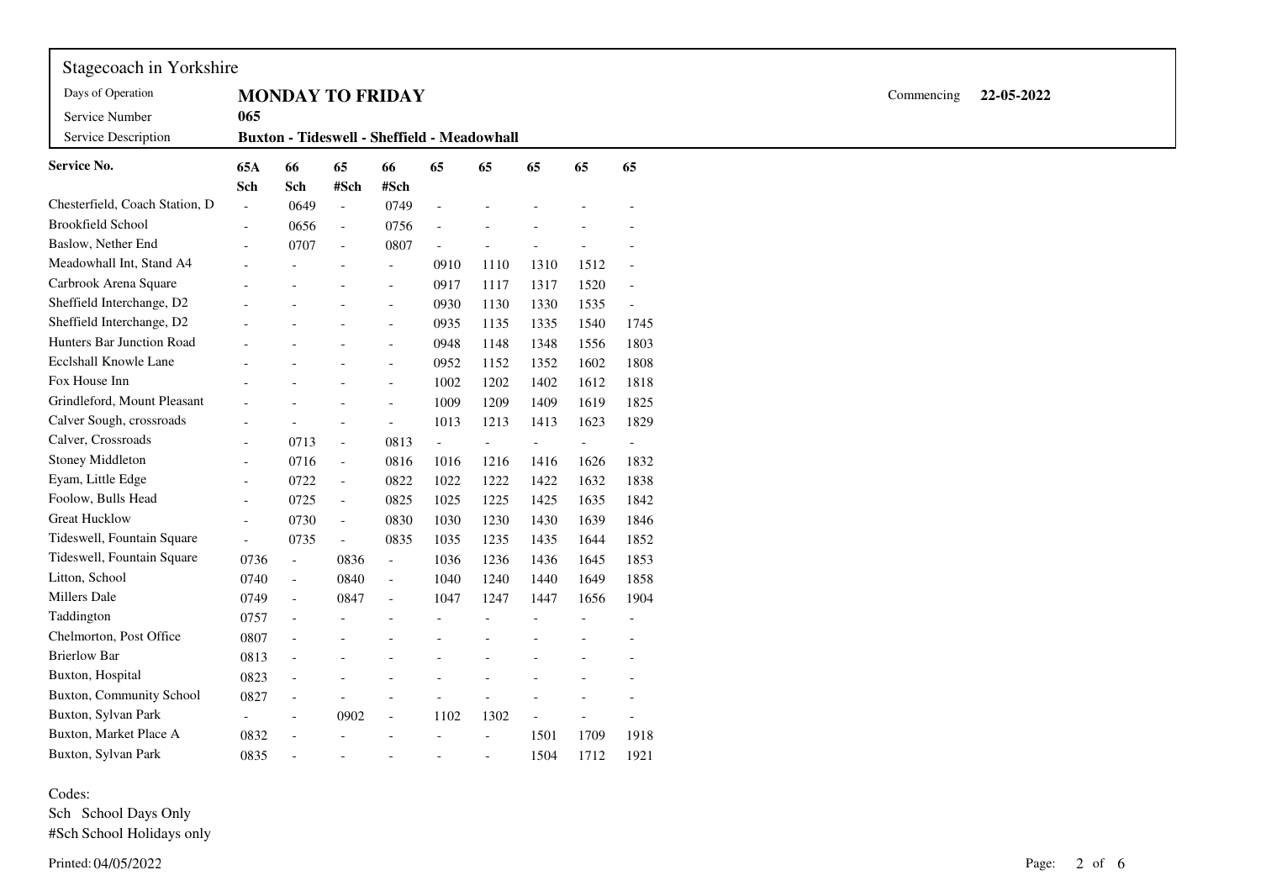| Stagecoach in Yorkshire               |                          |                                             |                          |                          |      |                          |                          |      |                          |            |            |
|---------------------------------------|--------------------------|---------------------------------------------|--------------------------|--------------------------|------|--------------------------|--------------------------|------|--------------------------|------------|------------|
| Days of Operation                     |                          | <b>MONDAY TO FRIDAY</b>                     |                          |                          |      |                          |                          |      |                          | Commencing | 22-05-2022 |
| Service Number<br>Service Description | 065                      | Buxton - Tideswell - Sheffield - Meadowhall |                          |                          |      |                          |                          |      |                          |            |            |
| <b>Service No.</b>                    | 65A<br>Sch               | 66<br>Sch                                   | 65<br>#Sch               | 66<br>#Sch               | 65   | 65                       | 65                       | 65   | 65                       |            |            |
| Chesterfield, Coach Station, D        | $\sim$                   | 0649                                        | $\mathbb{L}$             | 0749                     |      |                          |                          |      |                          |            |            |
| <b>Brookfield School</b>              | $\overline{\phantom{a}}$ | 0656                                        | $\overline{\phantom{a}}$ | 0756                     |      |                          |                          |      |                          |            |            |
| Baslow, Nether End                    |                          | 0707                                        | $\overline{\phantom{a}}$ | 0807                     |      |                          | $\overline{\phantom{0}}$ |      |                          |            |            |
| Meadowhall Int, Stand A4              |                          |                                             | $\blacksquare$           | $\overline{\phantom{a}}$ | 0910 | 1110                     | 1310                     | 1512 | $\overline{\phantom{a}}$ |            |            |
| Carbrook Arena Square                 |                          |                                             |                          | $\sim$                   | 0917 | 1117                     | 1317                     | 1520 | $\overline{\phantom{a}}$ |            |            |
| Sheffield Interchange, D2             |                          |                                             |                          | $\sim$                   | 0930 | 1130                     | 1330                     | 1535 | $\overline{\phantom{a}}$ |            |            |
| Sheffield Interchange, D2             |                          |                                             |                          | $\sim$                   | 0935 | 1135                     | 1335                     | 1540 | 1745                     |            |            |
| <b>Hunters Bar Junction Road</b>      |                          |                                             |                          | $\sim$                   | 0948 | 1148                     | 1348                     | 1556 | 1803                     |            |            |
| Ecclshall Knowle Lane                 |                          |                                             |                          | $\overline{a}$           | 0952 | 1152                     | 1352                     | 1602 | 1808                     |            |            |
| Fox House Inn                         |                          |                                             |                          | $\sim$                   | 1002 | 1202                     | 1402                     | 1612 | 1818                     |            |            |
| Grindleford, Mount Pleasant           |                          |                                             |                          | $\sim$                   | 1009 | 1209                     | 1409                     | 1619 | 1825                     |            |            |
| Calver Sough, crossroads              |                          |                                             | $\blacksquare$           | $\overline{\phantom{a}}$ | 1013 | 1213                     | 1413                     | 1623 | 1829                     |            |            |
| Calver, Crossroads                    |                          | 0713                                        | $\overline{\phantom{a}}$ | 0813                     |      | $\overline{\phantom{a}}$ | $\overline{\phantom{0}}$ |      |                          |            |            |
| Stoney Middleton                      |                          | 0716                                        | $\overline{\phantom{a}}$ | 0816                     | 1016 | 1216                     | 1416                     | 1626 | 1832                     |            |            |
| Eyam, Little Edge                     |                          | 0722                                        | $\overline{\phantom{a}}$ | 0822                     | 1022 | 1222                     | 1422                     | 1632 | 1838                     |            |            |
| Foolow, Bulls Head                    |                          | 0725                                        | $\overline{\phantom{a}}$ | 0825                     | 1025 | 1225                     | 1425                     | 1635 | 1842                     |            |            |
| <b>Great Hucklow</b>                  |                          | 0730                                        | $\overline{\phantom{a}}$ | 0830                     | 1030 | 1230                     | 1430                     | 1639 | 1846                     |            |            |
| Tideswell, Fountain Square            | $\overline{\phantom{a}}$ | 0735                                        | $\overline{\phantom{a}}$ | 0835                     | 1035 | 1235                     | 1435                     | 1644 | 1852                     |            |            |
| Tideswell, Fountain Square            | 0736                     | $\blacksquare$                              | 0836                     | $\sim$                   | 1036 | 1236                     | 1436                     | 1645 | 1853                     |            |            |
| Litton, School                        | 0740                     | $\blacksquare$                              | 0840                     | $\sim$                   | 1040 | 1240                     | 1440                     | 1649 | 1858                     |            |            |
| Millers Dale                          | 0749                     | $\blacksquare$                              | 0847                     | $\overline{\phantom{a}}$ | 1047 | 1247                     | 1447                     | 1656 | 1904                     |            |            |
| Taddington                            | 0757                     | $\overline{\phantom{a}}$                    |                          |                          |      |                          |                          |      |                          |            |            |
| Chelmorton, Post Office               | 0807                     |                                             |                          |                          |      |                          |                          |      |                          |            |            |
| <b>Brierlow Bar</b>                   | 0813                     |                                             |                          |                          |      |                          |                          |      |                          |            |            |
| Buxton, Hospital                      | 0823                     |                                             |                          |                          |      |                          |                          |      |                          |            |            |
| <b>Buxton, Community School</b>       | 0827                     | $\overline{\phantom{a}}$                    |                          |                          |      |                          |                          |      |                          |            |            |
| Buxton, Sylvan Park                   |                          | $\overline{\phantom{a}}$                    | 0902                     | $\overline{\phantom{a}}$ | 1102 | 1302                     | $\overline{\phantom{a}}$ |      |                          |            |            |
| Buxton, Market Place A                | 0832                     | $\overline{\phantom{a}}$                    |                          |                          |      | $\blacksquare$           | 1501                     | 1709 | 1918                     |            |            |
| Buxton, Sylvan Park                   | 0835                     |                                             |                          |                          |      |                          | 1504                     | 1712 | 1921                     |            |            |

Codes:

 Sch School Days Only#Sch School Holidays only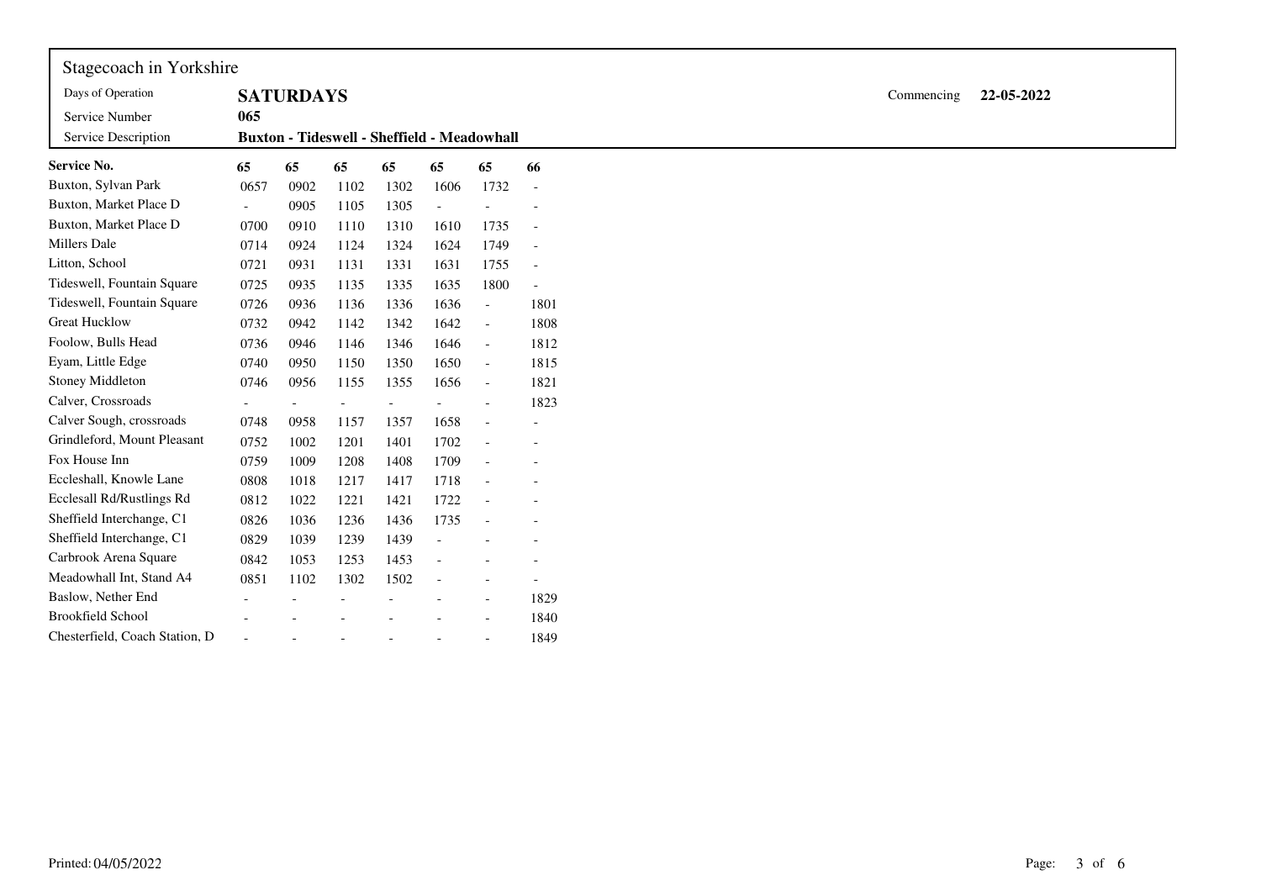| Stagecoach in Yorkshire        |                                                    |                  |      |      |                |                          |                          |  |  |  |
|--------------------------------|----------------------------------------------------|------------------|------|------|----------------|--------------------------|--------------------------|--|--|--|
| Days of Operation              |                                                    | <b>SATURDAYS</b> |      |      |                |                          |                          |  |  |  |
| Service Number                 | 065                                                |                  |      |      |                |                          |                          |  |  |  |
| Service Description            | <b>Buxton - Tideswell - Sheffield - Meadowhall</b> |                  |      |      |                |                          |                          |  |  |  |
| <b>Service No.</b>             | 65                                                 | 65               | 65   | 65   | 65             | 65                       | 66                       |  |  |  |
| Buxton, Sylvan Park            | 0657                                               | 0902             | 1102 | 1302 | 1606           | 1732                     | $\overline{\phantom{a}}$ |  |  |  |
| Buxton, Market Place D         | $\overline{\phantom{a}}$                           | 0905             | 1105 | 1305 | $\blacksquare$ |                          |                          |  |  |  |
| Buxton, Market Place D         | 0700                                               | 0910             | 1110 | 1310 | 1610           | 1735                     | $\overline{\phantom{a}}$ |  |  |  |
| <b>Millers Dale</b>            | 0714                                               | 0924             | 1124 | 1324 | 1624           | 1749                     | $\overline{a}$           |  |  |  |
| Litton, School                 | 0721                                               | 0931             | 1131 | 1331 | 1631           | 1755                     | $\overline{\phantom{a}}$ |  |  |  |
| Tideswell, Fountain Square     | 0725                                               | 0935             | 1135 | 1335 | 1635           | 1800                     | $\overline{a}$           |  |  |  |
| Tideswell, Fountain Square     | 0726                                               | 0936             | 1136 | 1336 | 1636           | $\mathbb{Z}^2$           | 1801                     |  |  |  |
| <b>Great Hucklow</b>           | 0732                                               | 0942             | 1142 | 1342 | 1642           | $\sim$                   | 1808                     |  |  |  |
| Foolow, Bulls Head             | 0736                                               | 0946             | 1146 | 1346 | 1646           | $\overline{\phantom{a}}$ | 1812                     |  |  |  |
| Eyam, Little Edge              | 0740                                               | 0950             | 1150 | 1350 | 1650           | $\blacksquare$           | 1815                     |  |  |  |
| Stoney Middleton               | 0746                                               | 0956             | 1155 | 1355 | 1656           | $\sim$                   | 1821                     |  |  |  |
| Calver, Crossroads             |                                                    |                  |      |      |                | $\sim$                   | 1823                     |  |  |  |
| Calver Sough, crossroads       | 0748                                               | 0958             | 1157 | 1357 | 1658           | $\overline{\phantom{a}}$ | ÷,                       |  |  |  |
| Grindleford, Mount Pleasant    | 0752                                               | 1002             | 1201 | 1401 | 1702           | $\overline{a}$           | L.                       |  |  |  |
| Fox House Inn                  | 0759                                               | 1009             | 1208 | 1408 | 1709           |                          |                          |  |  |  |
| Eccleshall, Knowle Lane        | 0808                                               | 1018             | 1217 | 1417 | 1718           | $\sim$                   |                          |  |  |  |
| Ecclesall Rd/Rustlings Rd      | 0812                                               | 1022             | 1221 | 1421 | 1722           | $\overline{\phantom{a}}$ |                          |  |  |  |
| Sheffield Interchange, C1      | 0826                                               | 1036             | 1236 | 1436 | 1735           | $\blacksquare$           |                          |  |  |  |
| Sheffield Interchange, C1      | 0829                                               | 1039             | 1239 | 1439 |                |                          |                          |  |  |  |
| Carbrook Arena Square          | 0842                                               | 1053             | 1253 | 1453 |                |                          |                          |  |  |  |
| Meadowhall Int, Stand A4       | 0851                                               | 1102             | 1302 | 1502 |                |                          | $\overline{\phantom{a}}$ |  |  |  |
| Baslow, Nether End             |                                                    |                  |      |      |                |                          | 1829                     |  |  |  |
| <b>Brookfield School</b>       |                                                    |                  |      |      |                |                          | 1840                     |  |  |  |
| Chesterfield, Coach Station, D |                                                    |                  |      |      |                |                          | 1849                     |  |  |  |
|                                |                                                    |                  |      |      |                |                          |                          |  |  |  |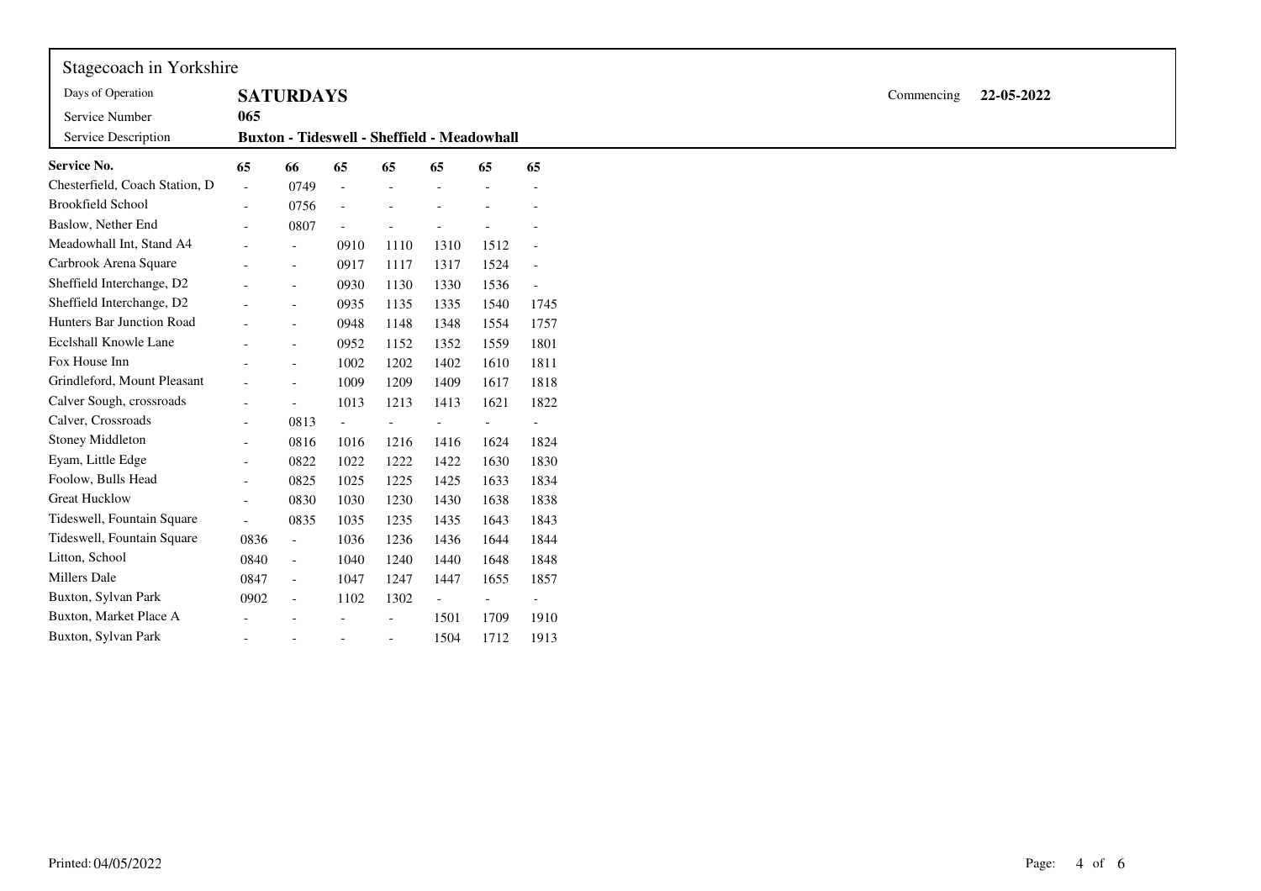| Stagecoach in Yorkshire<br>Days of Operation |                                                    | <b>SATURDAYS</b>         |                          |                |                          |                |                |  |  |  | Commencing | 22-05-2022 |
|----------------------------------------------|----------------------------------------------------|--------------------------|--------------------------|----------------|--------------------------|----------------|----------------|--|--|--|------------|------------|
| Service Number                               | 065                                                |                          |                          |                |                          |                |                |  |  |  |            |            |
| Service Description                          | <b>Buxton - Tideswell - Sheffield - Meadowhall</b> |                          |                          |                |                          |                |                |  |  |  |            |            |
| Service No.                                  | 65                                                 | 66                       | 65                       | 65             | 65                       | 65             | 65             |  |  |  |            |            |
| Chesterfield, Coach Station, D               | $\sim$                                             | 0749                     | $\overline{\phantom{a}}$ | $\sim$         |                          |                |                |  |  |  |            |            |
| <b>Brookfield School</b>                     | $\blacksquare$                                     | 0756                     | $\overline{\phantom{a}}$ |                |                          |                |                |  |  |  |            |            |
| Baslow, Nether End                           | $\overline{\phantom{a}}$                           | 0807                     | $\overline{a}$           | $\overline{a}$ | $\overline{a}$           |                |                |  |  |  |            |            |
| Meadowhall Int, Stand A4                     |                                                    | $\overline{a}$           | 0910                     | 1110           | 1310                     | 1512           | $\overline{a}$ |  |  |  |            |            |
| Carbrook Arena Square                        |                                                    | $\overline{\phantom{a}}$ | 0917                     | 1117           | 1317                     | 1524           | $\overline{a}$ |  |  |  |            |            |
| Sheffield Interchange, D2                    |                                                    |                          | 0930                     | 1130           | 1330                     | 1536           | $\overline{a}$ |  |  |  |            |            |
| Sheffield Interchange, D2                    |                                                    | $\overline{a}$           | 0935                     | 1135           | 1335                     | 1540           | 1745           |  |  |  |            |            |
| Hunters Bar Junction Road                    |                                                    | $\overline{a}$           | 0948                     | 1148           | 1348                     | 1554           | 1757           |  |  |  |            |            |
| Ecclshall Knowle Lane                        |                                                    | $\blacksquare$           | 0952                     | 1152           | 1352                     | 1559           | 1801           |  |  |  |            |            |
| Fox House Inn                                |                                                    | $\overline{a}$           | 1002                     | 1202           | 1402                     | 1610           | 1811           |  |  |  |            |            |
| Grindleford, Mount Pleasant                  |                                                    | $\sim$                   | 1009                     | 1209           | 1409                     | 1617           | 1818           |  |  |  |            |            |
| Calver Sough, crossroads                     |                                                    | $\overline{a}$           | 1013                     | 1213           | 1413                     | 1621           | 1822           |  |  |  |            |            |
| Calver, Crossroads                           | $\blacksquare$                                     | 0813                     | $\overline{\phantom{a}}$ | $\overline{a}$ | $\overline{a}$           | $\overline{a}$ | $\overline{a}$ |  |  |  |            |            |
| Stoney Middleton                             | $\overline{\phantom{a}}$                           | 0816                     | 1016                     | 1216           | 1416                     | 1624           | 1824           |  |  |  |            |            |
| Eyam, Little Edge                            | $\blacksquare$                                     | 0822                     | 1022                     | 1222           | 1422                     | 1630           | 1830           |  |  |  |            |            |
| Foolow, Bulls Head                           | $\overline{\phantom{a}}$                           | 0825                     | 1025                     | 1225           | 1425                     | 1633           | 1834           |  |  |  |            |            |
| <b>Great Hucklow</b>                         | $\blacksquare$                                     | 0830                     | 1030                     | 1230           | 1430                     | 1638           | 1838           |  |  |  |            |            |
| Tideswell, Fountain Square                   | $\overline{\phantom{a}}$                           | 0835                     | 1035                     | 1235           | 1435                     | 1643           | 1843           |  |  |  |            |            |
| Tideswell, Fountain Square                   | 0836                                               | $\blacksquare$           | 1036                     | 1236           | 1436                     | 1644           | 1844           |  |  |  |            |            |
| Litton, School                               | 0840                                               | $\blacksquare$           | 1040                     | 1240           | 1440                     | 1648           | 1848           |  |  |  |            |            |
| Millers Dale                                 | 0847                                               | $\equiv$                 | 1047                     | 1247           | 1447                     | 1655           | 1857           |  |  |  |            |            |
| Buxton, Sylvan Park                          | 0902                                               | $\overline{\phantom{a}}$ | 1102                     | 1302           | $\overline{\phantom{a}}$ | $\overline{a}$ | $\overline{a}$ |  |  |  |            |            |
| Buxton, Market Place A                       |                                                    |                          |                          | $\blacksquare$ | 1501                     | 1709           | 1910           |  |  |  |            |            |
| Buxton, Sylvan Park                          |                                                    |                          |                          | $\sim$         | 1504                     | 1712           | 1913           |  |  |  |            |            |
|                                              |                                                    |                          |                          |                |                          |                |                |  |  |  |            |            |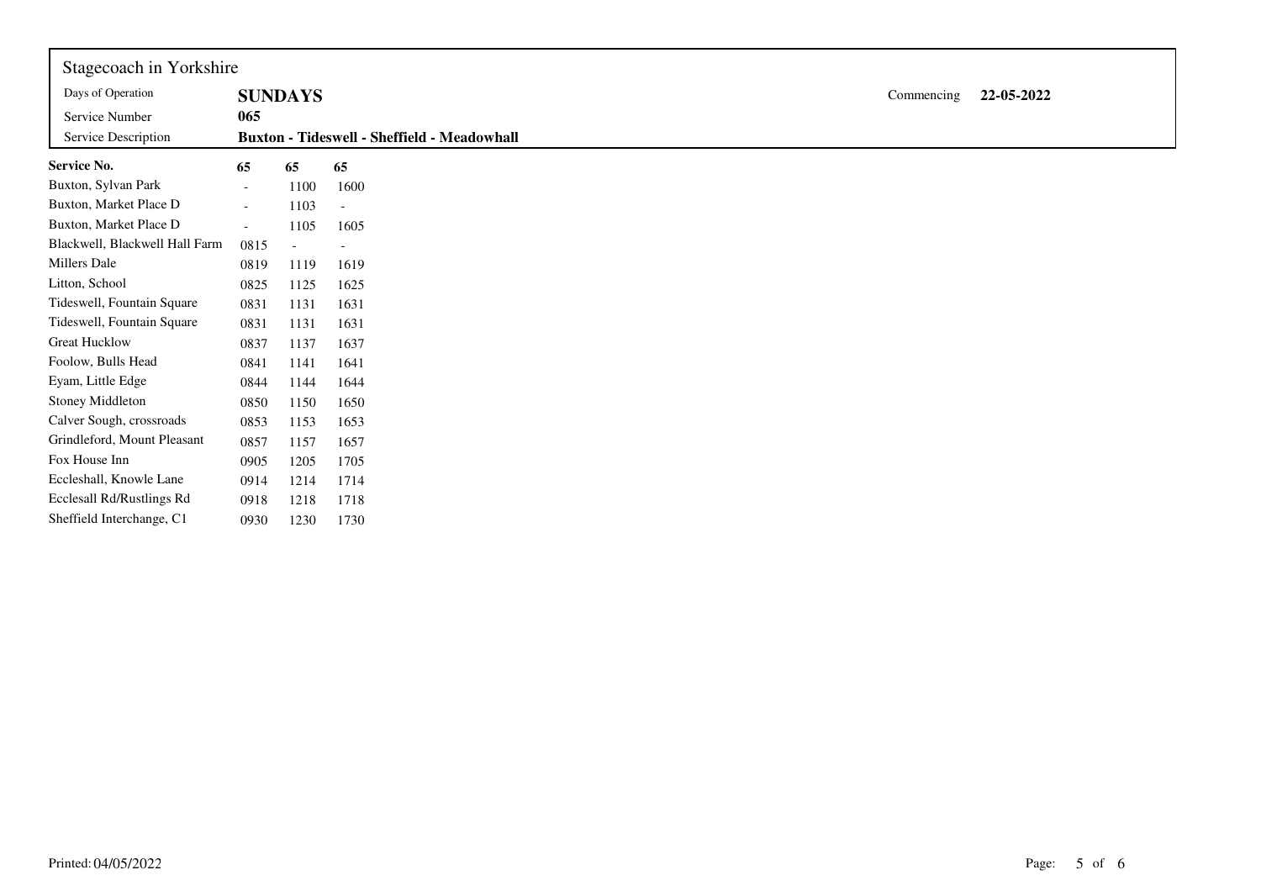| Stagecoach in Yorkshire               |                          |                |                                                    |            |            |
|---------------------------------------|--------------------------|----------------|----------------------------------------------------|------------|------------|
| Days of Operation                     |                          | <b>SUNDAYS</b> |                                                    | Commencing | 22-05-2022 |
| Service Number<br>Service Description | 065                      |                | <b>Buxton - Tideswell - Sheffield - Meadowhall</b> |            |            |
| <b>Service No.</b>                    | 65                       | 65             | 65                                                 |            |            |
| Buxton, Sylvan Park                   | $\overline{\phantom{0}}$ | 1100           | 1600                                               |            |            |
| Buxton, Market Place D                | $\overline{\phantom{a}}$ | 1103           | $\overline{\phantom{a}}$                           |            |            |
| Buxton, Market Place D                | $\sim$                   | 1105           | 1605                                               |            |            |
| Blackwell, Blackwell Hall Farm        | 0815                     |                |                                                    |            |            |
| Millers Dale                          | 0819                     | 1119           | 1619                                               |            |            |
| Litton, School                        | 0825                     | 1125           | 1625                                               |            |            |
| Tideswell, Fountain Square            | 0831                     | 1131           | 1631                                               |            |            |
| Tideswell, Fountain Square            | 0831                     | 1131           | 1631                                               |            |            |
| <b>Great Hucklow</b>                  | 0837                     | 1137           | 1637                                               |            |            |
| Foolow, Bulls Head                    | 0841                     | 1141           | 1641                                               |            |            |
| Eyam, Little Edge                     | 0844                     | 1144           | 1644                                               |            |            |
| <b>Stoney Middleton</b>               | 0850                     | 1150           | 1650                                               |            |            |
| Calver Sough, crossroads              | 0853                     | 1153           | 1653                                               |            |            |
| Grindleford, Mount Pleasant           | 0857                     | 1157           | 1657                                               |            |            |
| Fox House Inn                         | 0905                     | 1205           | 1705                                               |            |            |
| Eccleshall, Knowle Lane               | 0914                     | 1214           | 1714                                               |            |            |
| Ecclesall Rd/Rustlings Rd             | 0918                     | 1218           | 1718                                               |            |            |
| Sheffield Interchange, C1             | 0930                     | 1230           | 1730                                               |            |            |